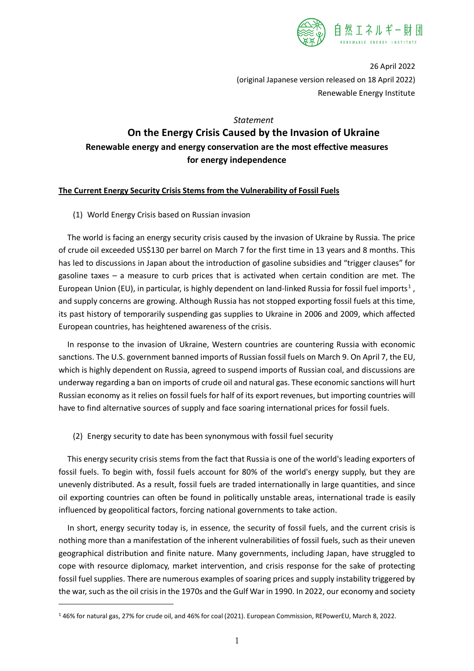

26 April 2022 (original Japanese version released on 18 April 2022) Renewable Energy Institute

## *Statement*

# **On the Energy Crisis Caused by the Invasion of Ukraine Renewable energy and energy conservation are the most effective measures for energy independence**

## **The Current Energy Security Crisis Stems from the Vulnerability of Fossil Fuels**

(1) World Energy Crisis based on Russian invasion

The world is facing an energy security crisis caused by the invasion of Ukraine by Russia. The price of crude oil exceeded US\$130 per barrel on March 7 for the first time in 13 years and 8 months. This has led to discussions in Japan about the introduction of gasoline subsidies and "trigger clauses" for gasoline taxes – a measure to curb prices that is activated when certain condition are met. The European Union (EU), in particular, is highly dependent on land-linked Russia for fossil fuel imports<sup>[1](#page-0-0)</sup>, and supply concerns are growing. Although Russia has not stopped exporting fossil fuels at this time, its past history of temporarily suspending gas supplies to Ukraine in 2006 and 2009, which affected European countries, has heightened awareness of the crisis.

In response to the invasion of Ukraine, Western countries are countering Russia with economic sanctions. The U.S. government banned imports of Russian fossil fuels on March 9. On April 7, the EU, which is highly dependent on Russia, agreed to suspend imports of Russian coal, and discussions are underway regarding a ban on imports of crude oil and natural gas. These economic sanctions will hurt Russian economy as it relies on fossil fuels for half of its export revenues, but importing countries will have to find alternative sources of supply and face soaring international prices for fossil fuels.

(2) Energy security to date has been synonymous with fossil fuel security

This energy security crisis stems from the fact that Russia is one of the world's leading exporters of fossil fuels. To begin with, fossil fuels account for 80% of the world's energy supply, but they are unevenly distributed. As a result, fossil fuels are traded internationally in large quantities, and since oil exporting countries can often be found in politically unstable areas, international trade is easily influenced by geopolitical factors, forcing national governments to take action.

In short, energy security today is, in essence, the security of fossil fuels, and the current crisis is nothing more than a manifestation of the inherent vulnerabilities of fossil fuels, such as their uneven geographical distribution and finite nature. Many governments, including Japan, have struggled to cope with resource diplomacy, market intervention, and crisis response for the sake of protecting fossil fuel supplies. There are numerous examples of soaring prices and supply instability triggered by the war, such as the oil crisis in the 1970s and the Gulf War in 1990. In 2022, our economy and society

<span id="page-0-0"></span><sup>1</sup> 46% for natural gas, 27% for crude oil, and 46% for coal (2021). European Commission, REPowerEU, March 8, 2022.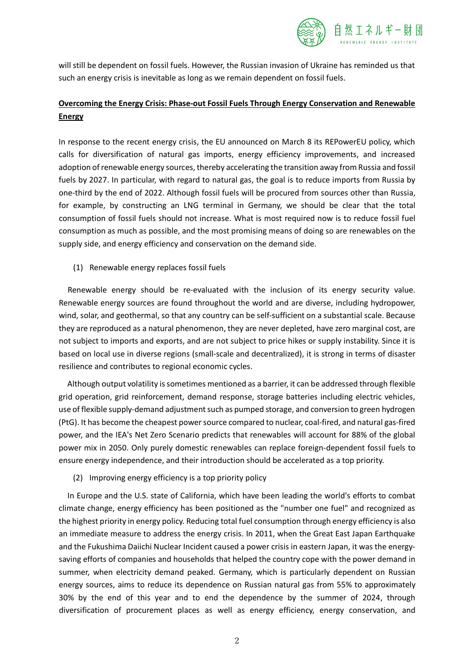

will still be dependent on fossil fuels. However, the Russian invasion of Ukraine has reminded us that such an energy crisis is inevitable as long as we remain dependent on fossil fuels.

## **Overcoming the Energy Crisis: Phase-out Fossil Fuels Through Energy Conservation and Renewable Energy**

In response to the recent energy crisis, the EU announced on March 8 its REPowerEU policy, which calls for diversification of natural gas imports, energy efficiency improvements, and increased adoption ofrenewable energy sources, thereby accelerating the transition away from Russia and fossil fuels by 2027. In particular, with regard to natural gas, the goal is to reduce imports from Russia by one-third by the end of 2022. Although fossil fuels will be procured from sources other than Russia, for example, by constructing an LNG terminal in Germany, we should be clear that the total consumption of fossil fuels should not increase. What is most required now is to reduce fossil fuel consumption as much as possible, and the most promising means of doing so are renewables on the supply side, and energy efficiency and conservation on the demand side.

(1) Renewable energy replaces fossil fuels

Renewable energy should be re-evaluated with the inclusion of its energy security value. Renewable energy sources are found throughout the world and are diverse, including hydropower, wind, solar, and geothermal, so that any country can be self-sufficient on a substantial scale. Because they are reproduced as a natural phenomenon, they are never depleted, have zero marginal cost, are not subject to imports and exports, and are not subject to price hikes or supply instability. Since it is based on local use in diverse regions (small-scale and decentralized), it is strong in terms of disaster resilience and contributes to regional economic cycles.

Although output volatility issometimes mentioned as a barrier, it can be addressed through flexible grid operation, grid reinforcement, demand response, storage batteries including electric vehicles, use of flexible supply-demand adjustment such as pumped storage, and conversion to green hydrogen (PtG). It has become the cheapest powersource compared to nuclear, coal-fired, and natural gas-fired power, and the IEA's Net Zero Scenario predicts that renewables will account for 88% of the global power mix in 2050. Only purely domestic renewables can replace foreign-dependent fossil fuels to ensure energy independence, and their introduction should be accelerated as a top priority.

(2) Improving energy efficiency is a top priority policy

In Europe and the U.S. state of California, which have been leading the world's efforts to combat climate change, energy efficiency has been positioned as the "number one fuel" and recognized as the highest priority in energy policy. Reducing total fuel consumption through energy efficiency is also an immediate measure to address the energy crisis. In 2011, when the Great East Japan Earthquake and the Fukushima Daiichi Nuclear Incident caused a power crisis in eastern Japan, it was the energysaving efforts of companies and households that helped the country cope with the power demand in summer, when electricity demand peaked. Germany, which is particularly dependent on Russian energy sources, aims to reduce its dependence on Russian natural gas from 55% to approximately 30% by the end of this year and to end the dependence by the summer of 2024, through diversification of procurement places as well as energy efficiency, energy conservation, and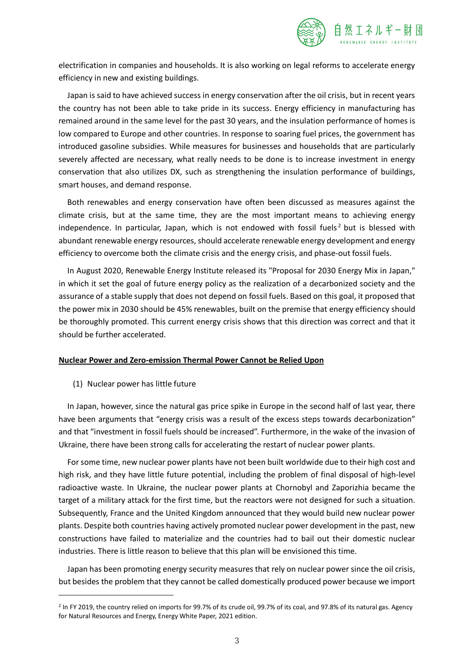

electrification in companies and households. It is also working on legal reforms to accelerate energy efficiency in new and existing buildings.

Japan is said to have achieved success in energy conservation after the oil crisis, but in recent years the country has not been able to take pride in its success. Energy efficiency in manufacturing has remained around in the same level for the past 30 years, and the insulation performance of homes is low compared to Europe and other countries. In response to soaring fuel prices, the government has introduced gasoline subsidies. While measures for businesses and households that are particularly severely affected are necessary, what really needs to be done is to increase investment in energy conservation that also utilizes DX, such as strengthening the insulation performance of buildings, smart houses, and demand response.

Both renewables and energy conservation have often been discussed as measures against the climate crisis, but at the same time, they are the most important means to achieving energy independence. In particular, Japan, which is not endowed with fossil fuels<sup>[2](#page-2-0)</sup> but is blessed with abundant renewable energy resources, should accelerate renewable energy development and energy efficiency to overcome both the climate crisis and the energy crisis, and phase-out fossil fuels.

In August 2020, Renewable Energy Institute released its "Proposal for 2030 Energy Mix in Japan," in which it set the goal of future energy policy as the realization of a decarbonized society and the assurance of a stable supply that does not depend on fossil fuels. Based on this goal, it proposed that the power mix in 2030 should be 45% renewables, built on the premise that energy efficiency should be thoroughly promoted. This current energy crisis shows that this direction was correct and that it should be further accelerated.

#### **Nuclear Power and Zero-emission Thermal Power Cannot be Relied Upon**

(1) Nuclear power has little future

In Japan, however, since the natural gas price spike in Europe in the second half of last year, there have been arguments that "energy crisis was a result of the excess steps towards decarbonization" and that "investment in fossil fuels should be increased". Furthermore, in the wake of the invasion of Ukraine, there have been strong calls for accelerating the restart of nuclear power plants.

For some time, new nuclear power plants have not been built worldwide due to their high cost and high risk, and they have little future potential, including the problem of final disposal of high-level radioactive waste. In Ukraine, the nuclear power plants at Chornobyl and Zaporizhia became the target of a military attack for the first time, but the reactors were not designed for such a situation. Subsequently, France and the United Kingdom announced that they would build new nuclear power plants. Despite both countries having actively promoted nuclear power development in the past, new constructions have failed to materialize and the countries had to bail out their domestic nuclear industries. There is little reason to believe that this plan will be envisioned this time.

Japan has been promoting energy security measures that rely on nuclear power since the oil crisis, but besides the problem that they cannot be called domestically produced power because we import

<span id="page-2-0"></span><sup>&</sup>lt;sup>2</sup> In FY 2019, the country relied on imports for 99.7% of its crude oil, 99.7% of its coal, and 97.8% of its natural gas. Agency for Natural Resources and Energy, Energy White Paper, 2021 edition.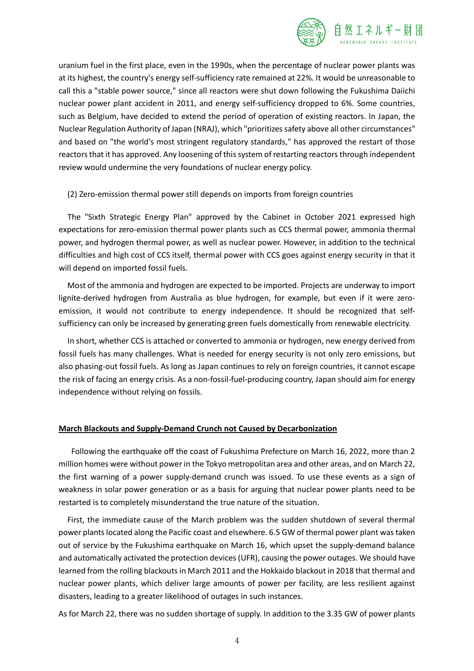

uranium fuel in the first place, even in the 1990s, when the percentage of nuclear power plants was at its highest, the country's energy self-sufficiency rate remained at 22%. It would be unreasonable to call this a "stable power source," since all reactors were shut down following the Fukushima Daiichi nuclear power plant accident in 2011, and energy self-sufficiency dropped to 6%. Some countries, such as Belgium, have decided to extend the period of operation of existing reactors. In Japan, the Nuclear Regulation Authority of Japan (NRAJ), which "prioritizessafety above all other circumstances" and based on "the world's most stringent regulatory standards," has approved the restart of those reactors that it has approved. Any loosening of this system of restarting reactors through independent review would undermine the very foundations of nuclear energy policy.

## (2) Zero-emission thermal power still depends on imports from foreign countries

The "Sixth Strategic Energy Plan" approved by the Cabinet in October 2021 expressed high expectations for zero-emission thermal power plants such as CCS thermal power, ammonia thermal power, and hydrogen thermal power, as well as nuclear power. However, in addition to the technical difficulties and high cost of CCS itself, thermal power with CCS goes against energy security in that it will depend on imported fossil fuels.

Most of the ammonia and hydrogen are expected to be imported. Projects are underway to import lignite-derived hydrogen from Australia as blue hydrogen, for example, but even if it were zeroemission, it would not contribute to energy independence. It should be recognized that selfsufficiency can only be increased by generating green fuels domestically from renewable electricity.

In short, whether CCS is attached or converted to ammonia or hydrogen, new energy derived from fossil fuels has many challenges. What is needed for energy security is not only zero emissions, but also phasing-out fossil fuels. As long as Japan continues to rely on foreign countries, it cannot escape the risk of facing an energy crisis. As a non-fossil-fuel-producing country, Japan should aim for energy independence without relying on fossils.

## **March Blackouts and Supply-Demand Crunch not Caused by Decarbonization**

 Following the earthquake off the coast of Fukushima Prefecture on March 16, 2022, more than 2 million homes were without power in the Tokyo metropolitan area and other areas, and on March 22, the first warning of a power supply-demand crunch was issued. To use these events as a sign of weakness in solar power generation or as a basis for arguing that nuclear power plants need to be restarted is to completely misunderstand the true nature of the situation.

First, the immediate cause of the March problem was the sudden shutdown of several thermal power plants located along the Pacific coast and elsewhere. 6.5 GW of thermal power plant was taken out of service by the Fukushima earthquake on March 16, which upset the supply-demand balance and automatically activated the protection devices(UFR), causing the power outages. We should have learned from the rolling blackouts in March 2011 and the Hokkaido blackout in 2018 that thermal and nuclear power plants, which deliver large amounts of power per facility, are less resilient against disasters, leading to a greater likelihood of outages in such instances.

As for March 22, there was no sudden shortage of supply. In addition to the 3.35 GW of power plants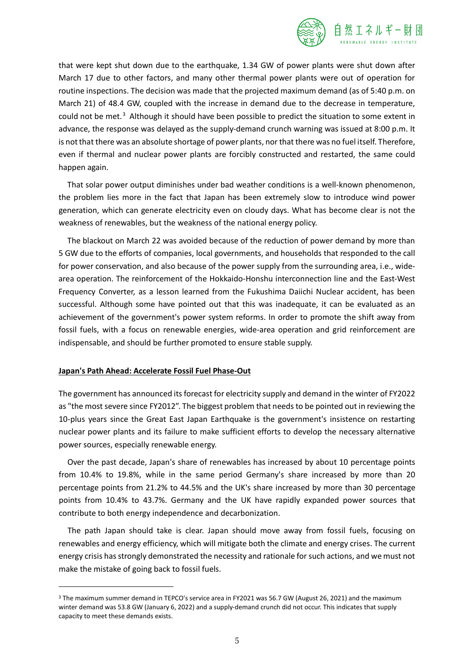

that were kept shut down due to the earthquake, 1.34 GW of power plants were shut down after March 17 due to other factors, and many other thermal power plants were out of operation for routine inspections. The decision was made that the projected maximum demand (as of 5:40 p.m. on March 21) of 48.4 GW, coupled with the increase in demand due to the decrease in temperature, could not be met.<sup>[3](#page-4-0)</sup> Although it should have been possible to predict the situation to some extent in advance, the response was delayed as the supply-demand crunch warning was issued at 8:00 p.m. It is not that there was an absolute shortage of power plants, nor that there was no fuel itself. Therefore, even if thermal and nuclear power plants are forcibly constructed and restarted, the same could happen again.

That solar power output diminishes under bad weather conditions is a well-known phenomenon, the problem lies more in the fact that Japan has been extremely slow to introduce wind power generation, which can generate electricity even on cloudy days. What has become clear is not the weakness of renewables, but the weakness of the national energy policy.

The blackout on March 22 was avoided because of the reduction of power demand by more than 5 GW due to the efforts of companies, local governments, and households that responded to the call for power conservation, and also because of the power supply from the surrounding area, i.e., widearea operation. The reinforcement of the Hokkaido-Honshu interconnection line and the East-West Frequency Converter, as a lesson learned from the Fukushima Daiichi Nuclear accident, has been successful. Although some have pointed out that this was inadequate, it can be evaluated as an achievement of the government's power system reforms. In order to promote the shift away from fossil fuels, with a focus on renewable energies, wide-area operation and grid reinforcement are indispensable, and should be further promoted to ensure stable supply.

#### **Japan's Path Ahead: Accelerate Fossil Fuel Phase-Out**

The government has announced its forecast for electricity supply and demand in the winter of FY2022 as "the most severe since FY2012". The biggest problem that needs to be pointed out in reviewing the 10-plus years since the Great East Japan Earthquake is the government's insistence on restarting nuclear power plants and its failure to make sufficient efforts to develop the necessary alternative power sources, especially renewable energy.

Over the past decade, Japan's share of renewables has increased by about 10 percentage points from 10.4% to 19.8%, while in the same period Germany's share increased by more than 20 percentage points from 21.2% to 44.5% and the UK's share increased by more than 30 percentage points from 10.4% to 43.7%. Germany and the UK have rapidly expanded power sources that contribute to both energy independence and decarbonization.

The path Japan should take is clear. Japan should move away from fossil fuels, focusing on renewables and energy efficiency, which will mitigate both the climate and energy crises. The current energy crisis has strongly demonstrated the necessity and rationale for such actions, and we must not make the mistake of going back to fossil fuels.

<span id="page-4-0"></span><sup>&</sup>lt;sup>3</sup> The maximum summer demand in TEPCO's service area in FY2021 was 56.7 GW (August 26, 2021) and the maximum winter demand was 53.8 GW (January 6, 2022) and a supply-demand crunch did not occur. This indicates that supply capacity to meet these demands exists.